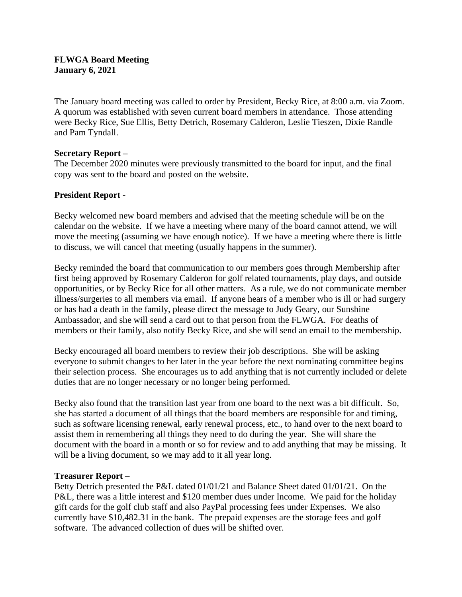## **FLWGA Board Meeting January 6, 2021**

The January board meeting was called to order by President, Becky Rice, at 8:00 a.m. via Zoom. A quorum was established with seven current board members in attendance. Those attending were Becky Rice, Sue Ellis, Betty Detrich, Rosemary Calderon, Leslie Tieszen, Dixie Randle and Pam Tyndall.

### **Secretary Report –**

The December 2020 minutes were previously transmitted to the board for input, and the final copy was sent to the board and posted on the website.

# **President Report -**

Becky welcomed new board members and advised that the meeting schedule will be on the calendar on the website. If we have a meeting where many of the board cannot attend, we will move the meeting (assuming we have enough notice). If we have a meeting where there is little to discuss, we will cancel that meeting (usually happens in the summer).

Becky reminded the board that communication to our members goes through Membership after first being approved by Rosemary Calderon for golf related tournaments, play days, and outside opportunities, or by Becky Rice for all other matters. As a rule, we do not communicate member illness/surgeries to all members via email. If anyone hears of a member who is ill or had surgery or has had a death in the family, please direct the message to Judy Geary, our Sunshine Ambassador, and she will send a card out to that person from the FLWGA. For deaths of members or their family, also notify Becky Rice, and she will send an email to the membership.

Becky encouraged all board members to review their job descriptions. She will be asking everyone to submit changes to her later in the year before the next nominating committee begins their selection process. She encourages us to add anything that is not currently included or delete duties that are no longer necessary or no longer being performed.

Becky also found that the transition last year from one board to the next was a bit difficult. So, she has started a document of all things that the board members are responsible for and timing, such as software licensing renewal, early renewal process, etc., to hand over to the next board to assist them in remembering all things they need to do during the year. She will share the document with the board in a month or so for review and to add anything that may be missing. It will be a living document, so we may add to it all year long.

### **Treasurer Report –**

Betty Detrich presented the P&L dated 01/01/21 and Balance Sheet dated 01/01/21. On the P&L, there was a little interest and \$120 member dues under Income. We paid for the holiday gift cards for the golf club staff and also PayPal processing fees under Expenses. We also currently have \$10,482.31 in the bank. The prepaid expenses are the storage fees and golf software. The advanced collection of dues will be shifted over.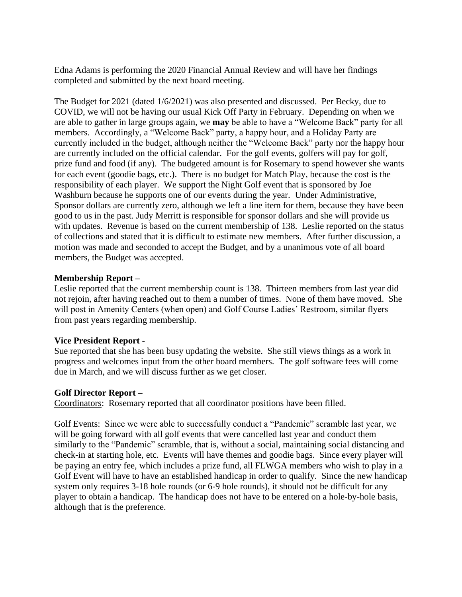Edna Adams is performing the 2020 Financial Annual Review and will have her findings completed and submitted by the next board meeting.

The Budget for 2021 (dated 1/6/2021) was also presented and discussed. Per Becky, due to COVID, we will not be having our usual Kick Off Party in February. Depending on when we are able to gather in large groups again, we **may** be able to have a "Welcome Back" party for all members. Accordingly, a "Welcome Back" party, a happy hour, and a Holiday Party are currently included in the budget, although neither the "Welcome Back" party nor the happy hour are currently included on the official calendar. For the golf events, golfers will pay for golf, prize fund and food (if any). The budgeted amount is for Rosemary to spend however she wants for each event (goodie bags, etc.). There is no budget for Match Play, because the cost is the responsibility of each player. We support the Night Golf event that is sponsored by Joe Washburn because he supports one of our events during the year. Under Administrative, Sponsor dollars are currently zero, although we left a line item for them, because they have been good to us in the past. Judy Merritt is responsible for sponsor dollars and she will provide us with updates. Revenue is based on the current membership of 138. Leslie reported on the status of collections and stated that it is difficult to estimate new members. After further discussion, a motion was made and seconded to accept the Budget, and by a unanimous vote of all board members, the Budget was accepted.

## **Membership Report –**

Leslie reported that the current membership count is 138. Thirteen members from last year did not rejoin, after having reached out to them a number of times. None of them have moved. She will post in Amenity Centers (when open) and Golf Course Ladies' Restroom, similar flyers from past years regarding membership.

### **Vice President Report -**

Sue reported that she has been busy updating the website. She still views things as a work in progress and welcomes input from the other board members. The golf software fees will come due in March, and we will discuss further as we get closer.

### **Golf Director Report –**

Coordinators: Rosemary reported that all coordinator positions have been filled.

Golf Events: Since we were able to successfully conduct a "Pandemic" scramble last year, we will be going forward with all golf events that were cancelled last year and conduct them similarly to the "Pandemic" scramble, that is, without a social, maintaining social distancing and check-in at starting hole, etc. Events will have themes and goodie bags. Since every player will be paying an entry fee, which includes a prize fund, all FLWGA members who wish to play in a Golf Event will have to have an established handicap in order to qualify. Since the new handicap system only requires 3-18 hole rounds (or 6-9 hole rounds), it should not be difficult for any player to obtain a handicap. The handicap does not have to be entered on a hole-by-hole basis, although that is the preference.